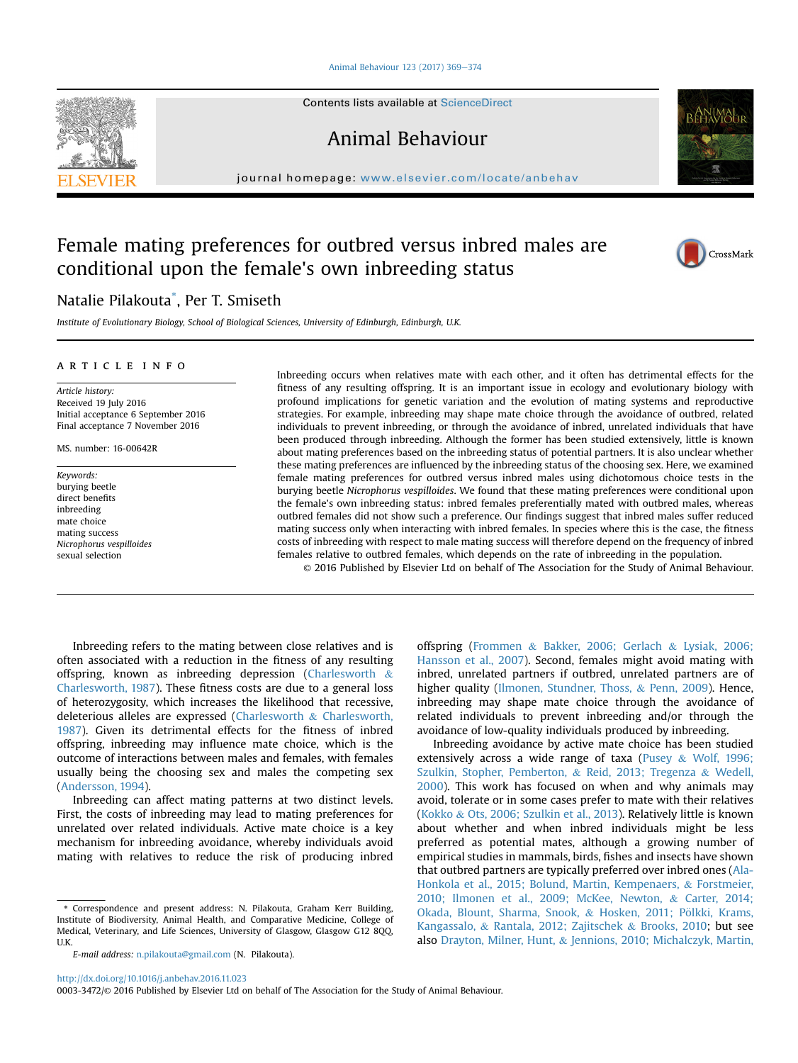[Animal Behaviour 123 \(2017\) 369](http://dx.doi.org/10.1016/j.anbehav.2016.11.023)-[374](http://dx.doi.org/10.1016/j.anbehav.2016.11.023)

Contents lists available at ScienceDirect

Animal Behaviour

journal homepage: [www.elsevier.com/locate/anbehav](http://www.elsevier.com/locate/anbehav)

# Female mating preferences for outbred versus inbred males are conditional upon the female's own inbreeding status

# Natalie Pilakouta\* , Per T. Smiseth

Institute of Evolutionary Biology, School of Biological Sciences, University of Edinburgh, Edinburgh, U.K.

### article info

Article history: Received 19 July 2016 Initial acceptance 6 September 2016 Final acceptance 7 November 2016

MS. number: 16-00642R

Keywords: burying beetle direct benefits inbreeding mate choice mating success Nicrophorus vespilloides sexual selection

Inbreeding occurs when relatives mate with each other, and it often has detrimental effects for the fitness of any resulting offspring. It is an important issue in ecology and evolutionary biology with profound implications for genetic variation and the evolution of mating systems and reproductive strategies. For example, inbreeding may shape mate choice through the avoidance of outbred, related individuals to prevent inbreeding, or through the avoidance of inbred, unrelated individuals that have been produced through inbreeding. Although the former has been studied extensively, little is known about mating preferences based on the inbreeding status of potential partners. It is also unclear whether these mating preferences are influenced by the inbreeding status of the choosing sex. Here, we examined female mating preferences for outbred versus inbred males using dichotomous choice tests in the burying beetle Nicrophorus vespilloides. We found that these mating preferences were conditional upon the female's own inbreeding status: inbred females preferentially mated with outbred males, whereas outbred females did not show such a preference. Our findings suggest that inbred males suffer reduced mating success only when interacting with inbred females. In species where this is the case, the fitness costs of inbreeding with respect to male mating success will therefore depend on the frequency of inbred females relative to outbred females, which depends on the rate of inbreeding in the population.

© 2016 Published by Elsevier Ltd on behalf of The Association for the Study of Animal Behaviour.

Inbreeding refers to the mating between close relatives and is often associated with a reduction in the fitness of any resulting offspring, known as inbreeding depression ([Charlesworth](#page-4-0) & [Charlesworth, 1987](#page-4-0)). These fitness costs are due to a general loss of heterozygosity, which increases the likelihood that recessive, deleterious alleles are expressed [\(Charlesworth](#page-4-0) & [Charlesworth,](#page-4-0) [1987\)](#page-4-0). Given its detrimental effects for the fitness of inbred offspring, inbreeding may influence mate choice, which is the outcome of interactions between males and females, with females usually being the choosing sex and males the competing sex ([Andersson, 1994\)](#page-4-0).

Inbreeding can affect mating patterns at two distinct levels. First, the costs of inbreeding may lead to mating preferences for unrelated over related individuals. Active mate choice is a key mechanism for inbreeding avoidance, whereby individuals avoid mating with relatives to reduce the risk of producing inbred

\* Correspondence and present address: N. Pilakouta, Graham Kerr Building, Institute of Biodiversity, Animal Health, and Comparative Medicine, College of Medical, Veterinary, and Life Sciences, University of Glasgow, Glasgow G12 8QQ, U.K.

E-mail address: [n.pilakouta@gmail.com](mailto:n.pilakouta@gmail.com) (N. Pilakouta).

offspring [\(Frommen](#page-4-0) & [Bakker, 2006; Gerlach](#page-4-0) & [Lysiak, 2006;](#page-4-0) [Hansson et al., 2007](#page-4-0)). Second, females might avoid mating with inbred, unrelated partners if outbred, unrelated partners are of higher quality [\(Ilmonen, Stundner, Thoss,](#page-4-0) & [Penn, 2009\)](#page-4-0). Hence, inbreeding may shape mate choice through the avoidance of related individuals to prevent inbreeding and/or through the avoidance of low-quality individuals produced by inbreeding.

Inbreeding avoidance by active mate choice has been studied extensively across a wide range of taxa ([Pusey](#page-4-0) & [Wolf, 1996;](#page-4-0) [Szulkin, Stopher, Pemberton,](#page-4-0) & [Reid, 2013; Tregenza](#page-4-0) & [Wedell,](#page-4-0) [2000\)](#page-4-0). This work has focused on when and why animals may avoid, tolerate or in some cases prefer to mate with their relatives ([Kokko](#page-4-0) & [Ots, 2006; Szulkin et al., 2013\)](#page-4-0). Relatively little is known about whether and when inbred individuals might be less preferred as potential mates, although a growing number of empirical studies in mammals, birds, fishes and insects have shown that outbred partners are typically preferred over inbred ones [\(Ala-](#page-4-0)[Honkola et al., 2015; Bolund, Martin, Kempenaers,](#page-4-0) & [Forstmeier,](#page-4-0) [2010; Ilmonen et al., 2009; McKee, Newton,](#page-4-0) & [Carter, 2014;](#page-4-0) [Okada, Blount, Sharma, Snook,](#page-4-0) & Hosken, 2011; Pölkki, Krams, [Kangassalo,](#page-4-0) & [Rantala, 2012; Zajitschek](#page-4-0) & [Brooks, 2010;](#page-4-0) but see also [Drayton, Milner, Hunt,](#page-4-0) & [Jennions, 2010; Michalczyk, Martin,](#page-4-0)

<http://dx.doi.org/10.1016/j.anbehav.2016.11.023>

0003-3472/© 2016 Published by Elsevier Ltd on behalf of The Association for the Study of Animal Behaviour.



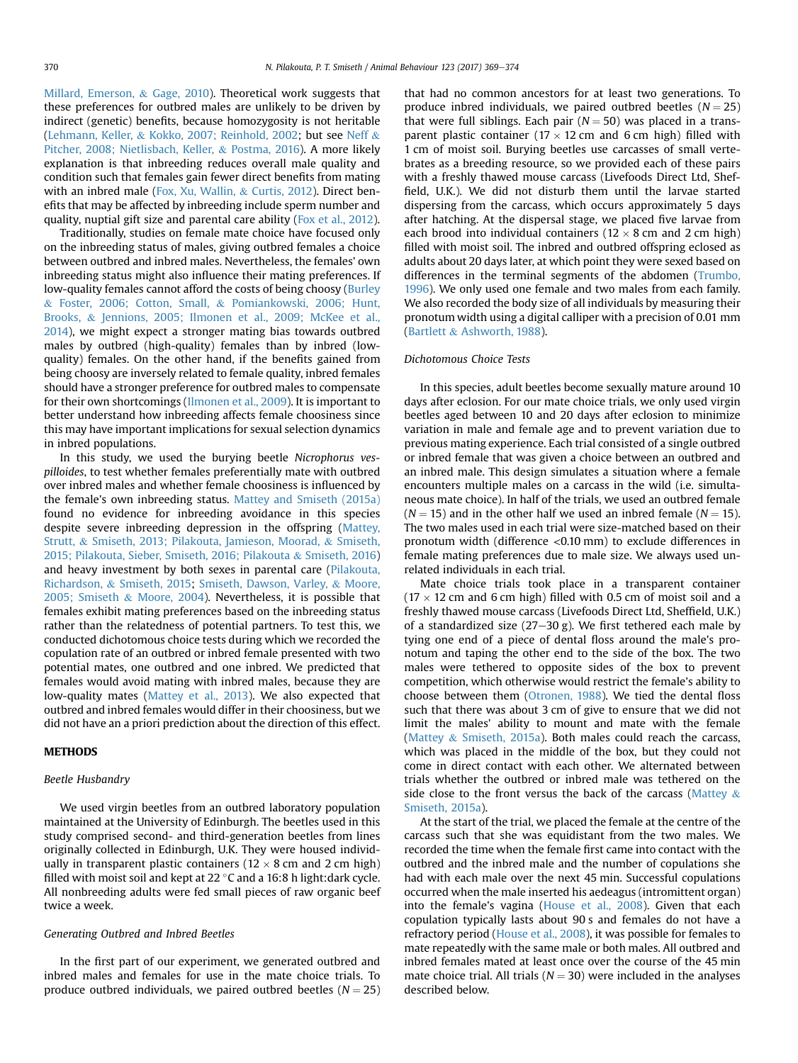[Millard, Emerson,](#page-4-0) & [Gage, 2010](#page-4-0)). Theoretical work suggests that these preferences for outbred males are unlikely to be driven by indirect (genetic) benefits, because homozygosity is not heritable ([Lehmann, Keller,](#page-4-0) & [Kokko, 2007; Reinhold, 2002](#page-4-0); but see [Neff](#page-4-0) & [Pitcher, 2008; Nietlisbach, Keller,](#page-4-0) & [Postma, 2016\)](#page-4-0). A more likely explanation is that inbreeding reduces overall male quality and condition such that females gain fewer direct benefits from mating with an inbred male ([Fox, Xu, Wallin,](#page-4-0) & [Curtis, 2012](#page-4-0)). Direct benefits that may be affected by inbreeding include sperm number and quality, nuptial gift size and parental care ability [\(Fox et al., 2012\)](#page-4-0).

Traditionally, studies on female mate choice have focused only on the inbreeding status of males, giving outbred females a choice between outbred and inbred males. Nevertheless, the females' own inbreeding status might also influence their mating preferences. If low-quality females cannot afford the costs of being choosy ([Burley](#page-4-0) & [Foster, 2006; Cotton, Small,](#page-4-0) & [Pomiankowski, 2006; Hunt,](#page-4-0) [Brooks,](#page-4-0) & [Jennions, 2005; Ilmonen et al., 2009; McKee et al.,](#page-4-0) [2014](#page-4-0)), we might expect a stronger mating bias towards outbred males by outbred (high-quality) females than by inbred (lowquality) females. On the other hand, if the benefits gained from being choosy are inversely related to female quality, inbred females should have a stronger preference for outbred males to compensate for their own shortcomings ([Ilmonen et al., 2009](#page-4-0)). It is important to better understand how inbreeding affects female choosiness since this may have important implications for sexual selection dynamics in inbred populations.

In this study, we used the burying beetle Nicrophorus vespilloides, to test whether females preferentially mate with outbred over inbred males and whether female choosiness is influenced by the female's own inbreeding status. [Mattey and Smiseth \(2015a\)](#page-4-0) found no evidence for inbreeding avoidance in this species despite severe inbreeding depression in the offspring ([Mattey,](#page-4-0) [Strutt,](#page-4-0) & [Smiseth, 2013; Pilakouta, Jamieson, Moorad,](#page-4-0) & [Smiseth,](#page-4-0) [2015; Pilakouta, Sieber, Smiseth, 2016; Pilakouta](#page-4-0) & [Smiseth, 2016\)](#page-4-0) and heavy investment by both sexes in parental care ([Pilakouta,](#page-4-0) [Richardson,](#page-4-0) & [Smiseth, 2015;](#page-4-0) [Smiseth, Dawson, Varley,](#page-5-0) & [Moore,](#page-5-0) [2005; Smiseth](#page-5-0) & [Moore, 2004](#page-5-0)). Nevertheless, it is possible that females exhibit mating preferences based on the inbreeding status rather than the relatedness of potential partners. To test this, we conducted dichotomous choice tests during which we recorded the copulation rate of an outbred or inbred female presented with two potential mates, one outbred and one inbred. We predicted that females would avoid mating with inbred males, because they are low-quality mates [\(Mattey et al., 2013](#page-4-0)). We also expected that outbred and inbred females would differ in their choosiness, but we did not have an a priori prediction about the direction of this effect.

# **METHODS**

## Beetle Husbandry

We used virgin beetles from an outbred laboratory population maintained at the University of Edinburgh. The beetles used in this study comprised second- and third-generation beetles from lines originally collected in Edinburgh, U.K. They were housed individually in transparent plastic containers ( $12 \times 8$  cm and 2 cm high) filled with moist soil and kept at 22  $\degree$ C and a 16:8 h light: dark cycle. All nonbreeding adults were fed small pieces of raw organic beef twice a week.

#### Generating Outbred and Inbred Beetles

In the first part of our experiment, we generated outbred and inbred males and females for use in the mate choice trials. To produce outbred individuals, we paired outbred beetles ( $N = 25$ ) that had no common ancestors for at least two generations. To produce inbred individuals, we paired outbred beetles  $(N = 25)$ that were full siblings. Each pair ( $N = 50$ ) was placed in a transparent plastic container ( $17 \times 12$  cm and 6 cm high) filled with 1 cm of moist soil. Burying beetles use carcasses of small vertebrates as a breeding resource, so we provided each of these pairs with a freshly thawed mouse carcass (Livefoods Direct Ltd, Sheffield, U.K.). We did not disturb them until the larvae started dispersing from the carcass, which occurs approximately 5 days after hatching. At the dispersal stage, we placed five larvae from each brood into individual containers ( $12 \times 8$  cm and 2 cm high) filled with moist soil. The inbred and outbred offspring eclosed as adults about 20 days later, at which point they were sexed based on differences in the terminal segments of the abdomen [\(Trumbo,](#page-5-0) [1996](#page-5-0)). We only used one female and two males from each family. We also recorded the body size of all individuals by measuring their pronotum width using a digital calliper with a precision of 0.01 mm ([Bartlett](#page-4-0) & [Ashworth, 1988\)](#page-4-0).

#### Dichotomous Choice Tests

In this species, adult beetles become sexually mature around 10 days after eclosion. For our mate choice trials, we only used virgin beetles aged between 10 and 20 days after eclosion to minimize variation in male and female age and to prevent variation due to previous mating experience. Each trial consisted of a single outbred or inbred female that was given a choice between an outbred and an inbred male. This design simulates a situation where a female encounters multiple males on a carcass in the wild (i.e. simultaneous mate choice). In half of the trials, we used an outbred female  $(N = 15)$  and in the other half we used an inbred female  $(N = 15)$ . The two males used in each trial were size-matched based on their pronotum width (difference <0.10 mm) to exclude differences in female mating preferences due to male size. We always used unrelated individuals in each trial.

Mate choice trials took place in a transparent container  $(17 \times 12 \text{ cm}$  and 6 cm high) filled with 0.5 cm of moist soil and a freshly thawed mouse carcass (Livefoods Direct Ltd, Sheffield, U.K.) of a standardized size  $(27-30 g)$ . We first tethered each male by tying one end of a piece of dental floss around the male's pronotum and taping the other end to the side of the box. The two males were tethered to opposite sides of the box to prevent competition, which otherwise would restrict the female's ability to choose between them ([Otronen, 1988](#page-4-0)). We tied the dental floss such that there was about 3 cm of give to ensure that we did not limit the males' ability to mount and mate with the female ([Mattey](#page-4-0) & [Smiseth, 2015a\)](#page-4-0). Both males could reach the carcass, which was placed in the middle of the box, but they could not come in direct contact with each other. We alternated between trials whether the outbred or inbred male was tethered on the side close to the front versus the back of the carcass [\(Mattey](#page-4-0)  $\&$ [Smiseth, 2015a](#page-4-0)).

At the start of the trial, we placed the female at the centre of the carcass such that she was equidistant from the two males. We recorded the time when the female first came into contact with the outbred and the inbred male and the number of copulations she had with each male over the next 45 min. Successful copulations occurred when the male inserted his aedeagus (intromittent organ) into the female's vagina ([House et al., 2008](#page-4-0)). Given that each copulation typically lasts about 90 s and females do not have a refractory period ([House et al., 2008](#page-4-0)), it was possible for females to mate repeatedly with the same male or both males. All outbred and inbred females mated at least once over the course of the 45 min mate choice trial. All trials ( $N = 30$ ) were included in the analyses described below.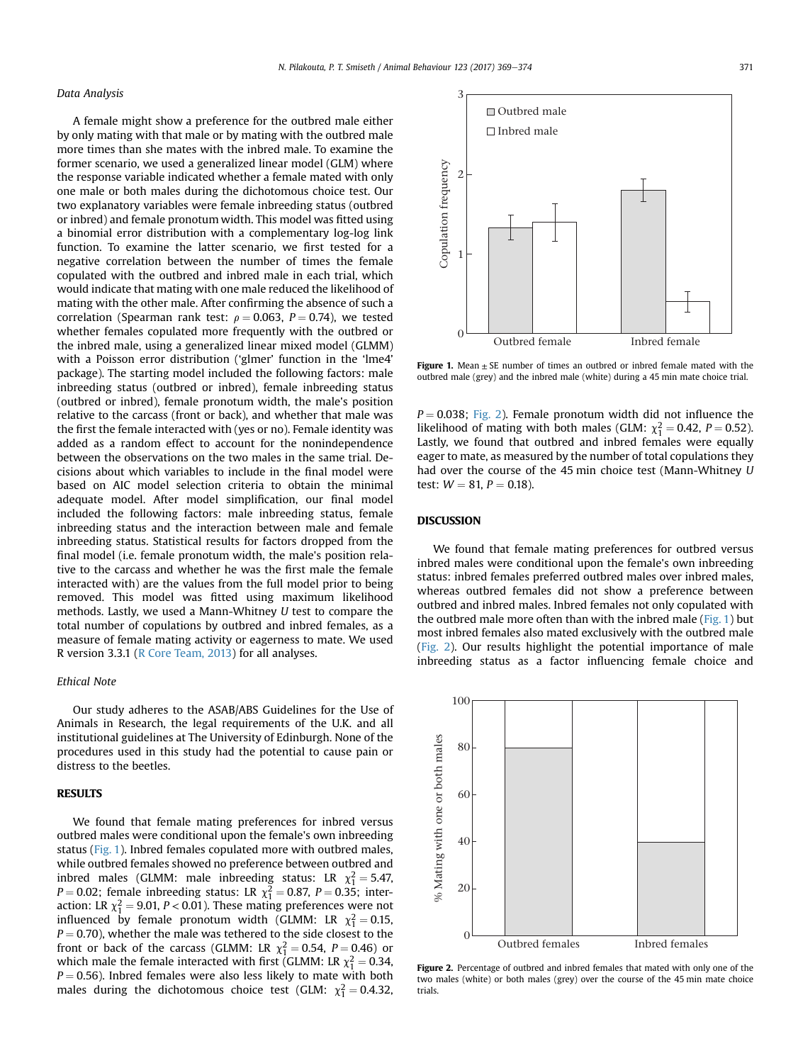# Data Analysis

A female might show a preference for the outbred male either by only mating with that male or by mating with the outbred male more times than she mates with the inbred male. To examine the former scenario, we used a generalized linear model (GLM) where the response variable indicated whether a female mated with only one male or both males during the dichotomous choice test. Our two explanatory variables were female inbreeding status (outbred or inbred) and female pronotum width. This model was fitted using a binomial error distribution with a complementary log-log link function. To examine the latter scenario, we first tested for a negative correlation between the number of times the female copulated with the outbred and inbred male in each trial, which would indicate that mating with one male reduced the likelihood of mating with the other male. After confirming the absence of such a correlation (Spearman rank test:  $\rho = 0.063$ , P = 0.74), we tested whether females copulated more frequently with the outbred or the inbred male, using a generalized linear mixed model (GLMM) with a Poisson error distribution ('glmer' function in the 'lme4' package). The starting model included the following factors: male inbreeding status (outbred or inbred), female inbreeding status (outbred or inbred), female pronotum width, the male's position relative to the carcass (front or back), and whether that male was the first the female interacted with (yes or no). Female identity was added as a random effect to account for the nonindependence between the observations on the two males in the same trial. Decisions about which variables to include in the final model were based on AIC model selection criteria to obtain the minimal adequate model. After model simplification, our final model included the following factors: male inbreeding status, female inbreeding status and the interaction between male and female inbreeding status. Statistical results for factors dropped from the final model (i.e. female pronotum width, the male's position relative to the carcass and whether he was the first male the female interacted with) are the values from the full model prior to being removed. This model was fitted using maximum likelihood methods. Lastly, we used a Mann-Whitney U test to compare the total number of copulations by outbred and inbred females, as a measure of female mating activity or eagerness to mate. We used R version 3.3.1 [\(R Core Team, 2013](#page-5-0)) for all analyses.

### Ethical Note

Our study adheres to the ASAB/ABS Guidelines for the Use of Animals in Research, the legal requirements of the U.K. and all institutional guidelines at The University of Edinburgh. None of the procedures used in this study had the potential to cause pain or distress to the beetles.

# RESULTS

We found that female mating preferences for inbred versus outbred males were conditional upon the female's own inbreeding status (Fig. 1). Inbred females copulated more with outbred males, while outbred females showed no preference between outbred and inbred males (GLMM: male inbreeding status: LR  $\chi_1^2 = 5.47$ ,  $P = 0.02$ ; female inbreeding status: LR  $\chi_1^2 = 0.87$ ,  $P = 0.35$ ; interaction: LR  $\chi_1^2 = 9.01$ ,  $P < 0.01$ ). These mating preferences were not influenced by female pronotum width (GLMM: LR  $\chi_1^2 = 0.15$ ,  $P = 0.70$ ), whether the male was tethered to the side closest to the front or back of the carcass (GLMM: LR  $\chi_1^2 = 0.54$ ,  $P = 0.46$ ) or which male the female interacted with first (GLMM: LR  $\chi_1^2 = 0.34$ ,  $P = 0.56$ ). Inbred females were also less likely to mate with both males during the dichotomous choice test (GLM:  $\chi_1^2 = 0.4.32$ ,



**Figure 1.** Mean  $\pm$  SE number of times an outbred or inbred female mated with the outbred male (grey) and the inbred male (white) during a 45 min mate choice trial.

 $P = 0.038$ ; Fig. 2). Female pronotum width did not influence the likelihood of mating with both males (GLM:  $\chi_1^2 = 0.42$ ,  $P = 0.52$ ). Lastly, we found that outbred and inbred females were equally eager to mate, as measured by the number of total copulations they had over the course of the 45 min choice test (Mann-Whitney U test:  $W = 81, P = 0.18$ ).

# **DISCUSSION**

We found that female mating preferences for outbred versus inbred males were conditional upon the female's own inbreeding status: inbred females preferred outbred males over inbred males, whereas outbred females did not show a preference between outbred and inbred males. Inbred females not only copulated with the outbred male more often than with the inbred male  $(Fig. 1)$  but most inbred females also mated exclusively with the outbred male (Fig. 2). Our results highlight the potential importance of male inbreeding status as a factor influencing female choice and



Figure 2. Percentage of outbred and inbred females that mated with only one of the two males (white) or both males (grey) over the course of the 45 min mate choice trials.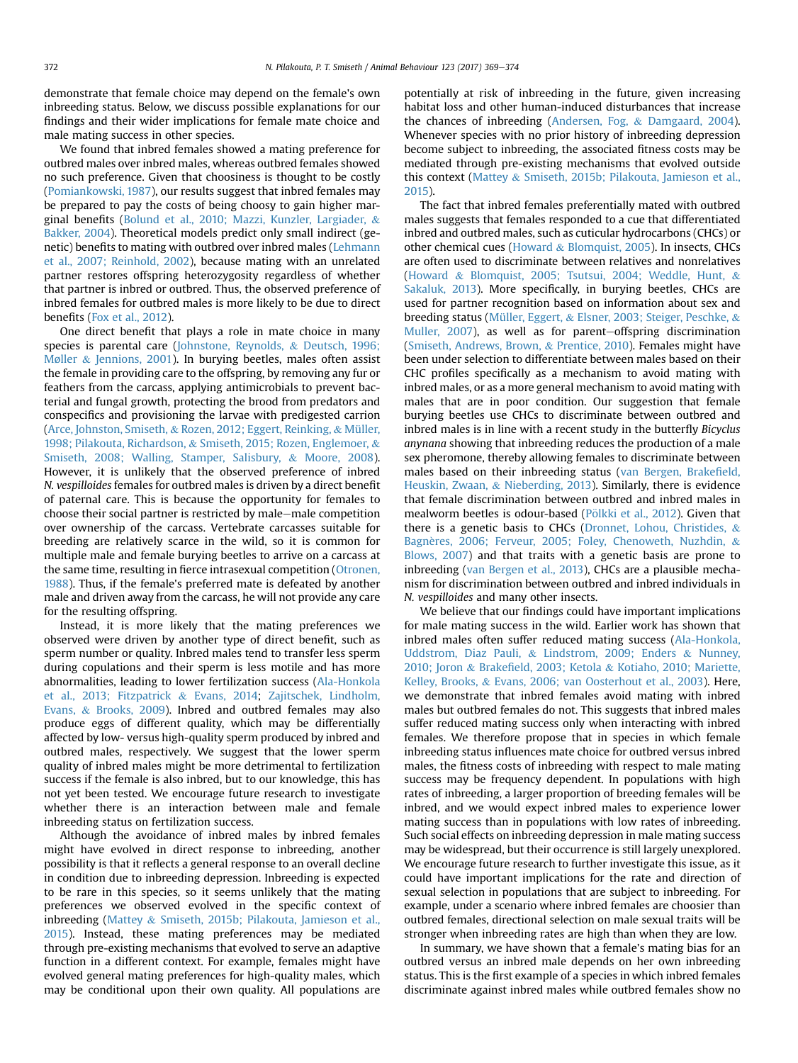demonstrate that female choice may depend on the female's own inbreeding status. Below, we discuss possible explanations for our findings and their wider implications for female mate choice and male mating success in other species.

We found that inbred females showed a mating preference for outbred males over inbred males, whereas outbred females showed no such preference. Given that choosiness is thought to be costly ([Pomiankowski, 1987\)](#page-4-0), our results suggest that inbred females may be prepared to pay the costs of being choosy to gain higher marginal benefits [\(Bolund et al., 2010; Mazzi, Kunzler, Largiader,](#page-4-0) & [Bakker, 2004](#page-4-0)). Theoretical models predict only small indirect (genetic) benefits to mating with outbred over inbred males ([Lehmann](#page-4-0) [et al., 2007; Reinhold, 2002\)](#page-4-0), because mating with an unrelated partner restores offspring heterozygosity regardless of whether that partner is inbred or outbred. Thus, the observed preference of inbred females for outbred males is more likely to be due to direct benefits [\(Fox et al., 2012\)](#page-4-0).

One direct benefit that plays a role in mate choice in many species is parental care [\(Johnstone, Reynolds,](#page-4-0) & [Deutsch, 1996;](#page-4-0) [Møller](#page-4-0) & [Jennions, 2001\)](#page-4-0). In burying beetles, males often assist the female in providing care to the offspring, by removing any fur or feathers from the carcass, applying antimicrobials to prevent bacterial and fungal growth, protecting the brood from predators and conspecifics and provisioning the larvae with predigested carrion ([Arce, Johnston, Smiseth,](#page-4-0) & [Rozen, 2012; Eggert, Reinking,](#page-4-0) & [Müller,](#page-4-0) [1998; Pilakouta, Richardson,](#page-4-0) & [Smiseth, 2015; Rozen, Englemoer,](#page-4-0) & [Smiseth, 2008; Walling, Stamper, Salisbury,](#page-4-0) & [Moore, 2008\)](#page-4-0). However, it is unlikely that the observed preference of inbred N. vespilloides females for outbred males is driven by a direct benefit of paternal care. This is because the opportunity for females to choose their social partner is restricted by male-male competition over ownership of the carcass. Vertebrate carcasses suitable for breeding are relatively scarce in the wild, so it is common for multiple male and female burying beetles to arrive on a carcass at the same time, resulting in fierce intrasexual competition ([Otronen,](#page-4-0) [1988](#page-4-0)). Thus, if the female's preferred mate is defeated by another male and driven away from the carcass, he will not provide any care for the resulting offspring.

Instead, it is more likely that the mating preferences we observed were driven by another type of direct benefit, such as sperm number or quality. Inbred males tend to transfer less sperm during copulations and their sperm is less motile and has more abnormalities, leading to lower fertilization success ([Ala-Honkola](#page-4-0) [et al., 2013; Fitzpatrick](#page-4-0) & [Evans, 2014](#page-4-0); [Zajitschek, Lindholm,](#page-5-0) [Evans,](#page-5-0) & [Brooks, 2009](#page-5-0)). Inbred and outbred females may also produce eggs of different quality, which may be differentially affected by low- versus high-quality sperm produced by inbred and outbred males, respectively. We suggest that the lower sperm quality of inbred males might be more detrimental to fertilization success if the female is also inbred, but to our knowledge, this has not yet been tested. We encourage future research to investigate whether there is an interaction between male and female inbreeding status on fertilization success.

Although the avoidance of inbred males by inbred females might have evolved in direct response to inbreeding, another possibility is that it reflects a general response to an overall decline in condition due to inbreeding depression. Inbreeding is expected to be rare in this species, so it seems unlikely that the mating preferences we observed evolved in the specific context of inbreeding [\(Mattey](#page-4-0) & [Smiseth, 2015b; Pilakouta, Jamieson et al.,](#page-4-0) [2015](#page-4-0)). Instead, these mating preferences may be mediated through pre-existing mechanisms that evolved to serve an adaptive function in a different context. For example, females might have evolved general mating preferences for high-quality males, which may be conditional upon their own quality. All populations are potentially at risk of inbreeding in the future, given increasing habitat loss and other human-induced disturbances that increase the chances of inbreeding ([Andersen, Fog,](#page-4-0) & [Damgaard, 2004\)](#page-4-0). Whenever species with no prior history of inbreeding depression become subject to inbreeding, the associated fitness costs may be mediated through pre-existing mechanisms that evolved outside this context ([Mattey](#page-4-0) & [Smiseth, 2015b; Pilakouta, Jamieson et al.,](#page-4-0) [2015\)](#page-4-0).

The fact that inbred females preferentially mated with outbred males suggests that females responded to a cue that differentiated inbred and outbred males, such as cuticular hydrocarbons (CHCs) or other chemical cues ([Howard](#page-4-0) & [Blomquist, 2005\)](#page-4-0). In insects, CHCs are often used to discriminate between relatives and nonrelatives ([Howard](#page-4-0) & [Blomquist, 2005; Tsutsui, 2004; Weddle, Hunt,](#page-4-0) & [Sakaluk, 2013\)](#page-4-0). More specifically, in burying beetles, CHCs are used for partner recognition based on information about sex and breeding status [\(Müller, Eggert,](#page-4-0) & [Elsner, 2003; Steiger, Peschke,](#page-4-0) & [Muller, 2007\)](#page-4-0), as well as for parent-offspring discrimination ([Smiseth, Andrews, Brown,](#page-5-0) & [Prentice, 2010](#page-5-0)). Females might have been under selection to differentiate between males based on their CHC profiles specifically as a mechanism to avoid mating with inbred males, or as a more general mechanism to avoid mating with males that are in poor condition. Our suggestion that female burying beetles use CHCs to discriminate between outbred and inbred males is in line with a recent study in the butterfly Bicyclus anynana showing that inbreeding reduces the production of a male sex pheromone, thereby allowing females to discriminate between males based on their inbreeding status [\(van Bergen, Brake](#page-4-0)field, [Heuskin, Zwaan,](#page-4-0) & [Nieberding, 2013\)](#page-4-0). Similarly, there is evidence that female discrimination between outbred and inbred males in mealworm beetles is odour-based (Pölkki et al., 2012). Given that there is a genetic basis to CHCs ([Dronnet, Lohou, Christides,](#page-4-0) & [Bagn](#page-4-0)è[res, 2006; Ferveur, 2005; Foley, Chenoweth, Nuzhdin,](#page-4-0) & [Blows, 2007\)](#page-4-0) and that traits with a genetic basis are prone to inbreeding ([van Bergen et al., 2013\)](#page-4-0), CHCs are a plausible mechanism for discrimination between outbred and inbred individuals in N. vespilloides and many other insects.

We believe that our findings could have important implications for male mating success in the wild. Earlier work has shown that inbred males often suffer reduced mating success ([Ala-Honkola,](#page-4-0) [Uddstrom, Diaz Pauli,](#page-4-0) & [Lindstrom, 2009; Enders](#page-4-0) & [Nunney,](#page-4-0) [2010; Joron](#page-4-0) & Brakefi[eld, 2003; Ketola](#page-4-0) & [Kotiaho, 2010; Mariette,](#page-4-0) [Kelley, Brooks,](#page-4-0) & [Evans, 2006; van Oosterhout et al., 2003](#page-4-0)). Here, we demonstrate that inbred females avoid mating with inbred males but outbred females do not. This suggests that inbred males suffer reduced mating success only when interacting with inbred females. We therefore propose that in species in which female inbreeding status influences mate choice for outbred versus inbred males, the fitness costs of inbreeding with respect to male mating success may be frequency dependent. In populations with high rates of inbreeding, a larger proportion of breeding females will be inbred, and we would expect inbred males to experience lower mating success than in populations with low rates of inbreeding. Such social effects on inbreeding depression in male mating success may be widespread, but their occurrence is still largely unexplored. We encourage future research to further investigate this issue, as it could have important implications for the rate and direction of sexual selection in populations that are subject to inbreeding. For example, under a scenario where inbred females are choosier than outbred females, directional selection on male sexual traits will be stronger when inbreeding rates are high than when they are low.

In summary, we have shown that a female's mating bias for an outbred versus an inbred male depends on her own inbreeding status. This is the first example of a species in which inbred females discriminate against inbred males while outbred females show no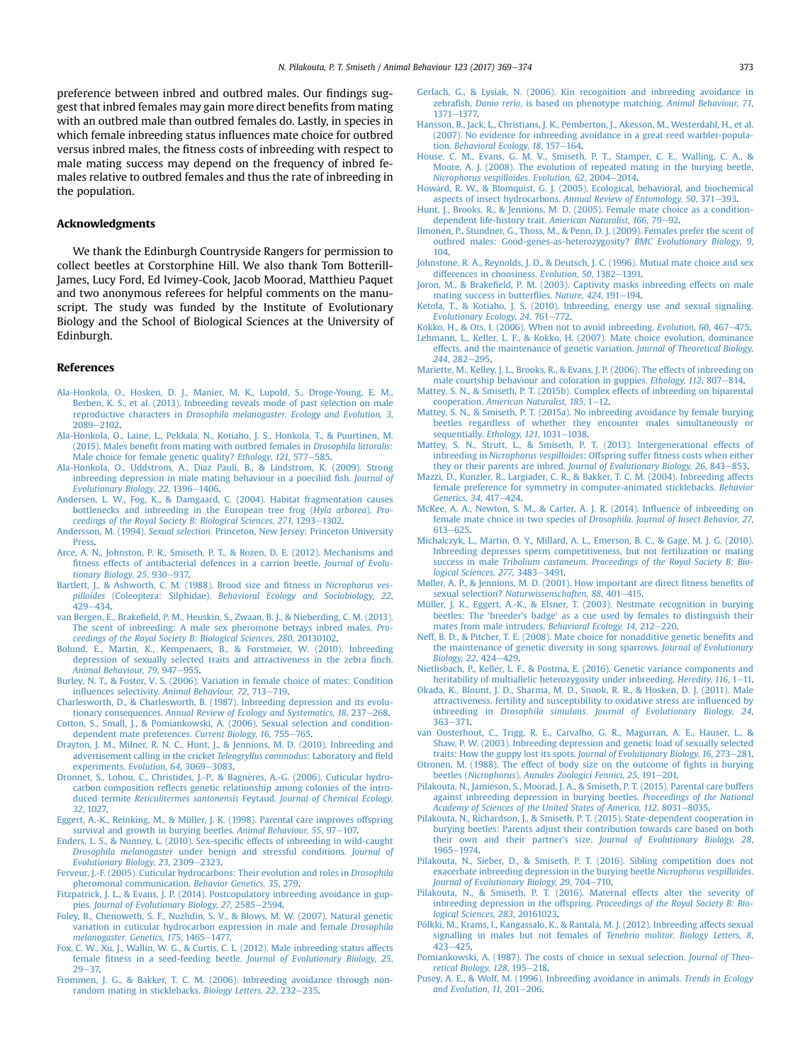<span id="page-4-0"></span>preference between inbred and outbred males. Our findings suggest that inbred females may gain more direct benefits from mating with an outbred male than outbred females do. Lastly, in species in which female inbreeding status influences mate choice for outbred versus inbred males, the fitness costs of inbreeding with respect to male mating success may depend on the frequency of inbred females relative to outbred females and thus the rate of inbreeding in the population.

# Acknowledgments

We thank the Edinburgh Countryside Rangers for permission to collect beetles at Corstorphine Hill. We also thank Tom Botterill-James, Lucy Ford, Ed Ivimey-Cook, Jacob Moorad, Matthieu Paquet and two anonymous referees for helpful comments on the manuscript. The study was funded by the Institute of Evolutionary Biology and the School of Biological Sciences at the University of Edinburgh.

#### References

- [Ala-Honkola, O., Hosken, D. J., Manier, M. K., Lupold, S., Droge-Young, E. M.,](http://refhub.elsevier.com/S0003-3472(16)30318-9/sref1) [Berben, K. S., et al. \(2013\). Inbreeding reveals mode of past selection on male](http://refhub.elsevier.com/S0003-3472(16)30318-9/sref1) [reproductive characters in](http://refhub.elsevier.com/S0003-3472(16)30318-9/sref1) Drosophila melanogaster. Ecology and Evolution, 3, [2089](http://refhub.elsevier.com/S0003-3472(16)30318-9/sref1)-[2102](http://refhub.elsevier.com/S0003-3472(16)30318-9/sref1).
- [Ala-Honkola, O., Laine, L., Pekkala, N., Kotiaho, J. S., Honkola, T., & Puurtinen, M.](http://refhub.elsevier.com/S0003-3472(16)30318-9/sref2) (2015). Males benefi[t from mating with outbred females in](http://refhub.elsevier.com/S0003-3472(16)30318-9/sref2) Drosophila littoralis: [Male choice for female genetic quality?](http://refhub.elsevier.com/S0003-3472(16)30318-9/sref2) Ethology, 121, 577-[585](http://refhub.elsevier.com/S0003-3472(16)30318-9/sref2).
- [Ala-Honkola, O., Uddstrom, A., Diaz Pauli, B., & Lindstrom, K. \(2009\). Strong](http://refhub.elsevier.com/S0003-3472(16)30318-9/sref3) [inbreeding depression in male mating behaviour in a poeciliid](http://refhub.elsevier.com/S0003-3472(16)30318-9/sref3) fish. Journal of [Evolutionary Biology, 22](http://refhub.elsevier.com/S0003-3472(16)30318-9/sref3), 1396-[1406](http://refhub.elsevier.com/S0003-3472(16)30318-9/sref3).
- [Andersen, L. W., Fog, K., & Damgaard, C. \(2004\). Habitat fragmentation causes](http://refhub.elsevier.com/S0003-3472(16)30318-9/sref4) [bottlenecks and inbreeding in the European tree frog \(](http://refhub.elsevier.com/S0003-3472(16)30318-9/sref4)Hyla arborea). Pro[ceedings of the Royal Society B: Biological Sciences, 271](http://refhub.elsevier.com/S0003-3472(16)30318-9/sref4), 1293-[1302](http://refhub.elsevier.com/S0003-3472(16)30318-9/sref4).
- Andersson, M. (1994). Sexual selection[. Princeton, New Jersey: Princeton University](http://refhub.elsevier.com/S0003-3472(16)30318-9/sref5) [Press](http://refhub.elsevier.com/S0003-3472(16)30318-9/sref5).
- [Arce, A. N., Johnston, P. R., Smiseth, P. T., & Rozen, D. E. \(2012\). Mechanisms and](http://refhub.elsevier.com/S0003-3472(16)30318-9/sref6) fi[tness effects of antibacterial defences in a carrion beetle.](http://refhub.elsevier.com/S0003-3472(16)30318-9/sref6) Journal of Evolu[tionary Biology, 25](http://refhub.elsevier.com/S0003-3472(16)30318-9/sref6), 930-[937.](http://refhub.elsevier.com/S0003-3472(16)30318-9/sref6)
- [Bartlett, J., & Ashworth, C. M. \(1988\). Brood size and](http://refhub.elsevier.com/S0003-3472(16)30318-9/sref7) fitness in Nicrophorus vespilloides (Coleoptera: Silphidae). [Behavioral Ecology and Sociobiology, 22](http://refhub.elsevier.com/S0003-3472(16)30318-9/sref7),  $429 - 434$  $429 - 434$  $429 - 434$ .
- van Bergen, E., Brakefi[eld, P. M., Heuskin, S., Zwaan, B. J., & Nieberding, C. M. \(2013\).](http://refhub.elsevier.com/S0003-3472(16)30318-9/sref8) [The scent of inbreeding: A male sex pheromone betrays inbred males.](http://refhub.elsevier.com/S0003-3472(16)30318-9/sref8) Pro[ceedings of the Royal Society B: Biological Sciences, 280](http://refhub.elsevier.com/S0003-3472(16)30318-9/sref8), 20130102.
- [Bolund, E., Martin, K., Kempenaers, B., & Forstmeier, W. \(2010\). Inbreeding](http://refhub.elsevier.com/S0003-3472(16)30318-9/sref9) [depression of sexually selected traits and attractiveness in the zebra](http://refhub.elsevier.com/S0003-3472(16)30318-9/sref9) finch. [Animal Behaviour, 79](http://refhub.elsevier.com/S0003-3472(16)30318-9/sref9), 947-[955](http://refhub.elsevier.com/S0003-3472(16)30318-9/sref9).
- [Burley, N. T., & Foster, V. S. \(2006\). Variation in female choice of mates: Condition](http://refhub.elsevier.com/S0003-3472(16)30318-9/sref10) influences selectivity. [Animal Behaviour, 72](http://refhub.elsevier.com/S0003-3472(16)30318-9/sref10), 713-[719](http://refhub.elsevier.com/S0003-3472(16)30318-9/sref10).
- [Charlesworth, D., & Charlesworth, B. \(1987\). Inbreeding depression and its evolu-](http://refhub.elsevier.com/S0003-3472(16)30318-9/sref11)tionary consequences. [Annual Review of Ecology and Systematics, 18](http://refhub.elsevier.com/S0003-3472(16)30318-9/sref11), 237–[268.](http://refhub.elsevier.com/S0003-3472(16)30318-9/sref11)<br>[Cotton, S., Small, J., & Pomiankowski, A. \(2006\). Sexual selection and condition-](http://refhub.elsevier.com/S0003-3472(16)30318-9/sref12)

[dependent mate preferences.](http://refhub.elsevier.com/S0003-3472(16)30318-9/sref12) Current Biology, 16, 755-[765.](http://refhub.elsevier.com/S0003-3472(16)30318-9/sref12)

- [Drayton, J. M., Milner, R. N. C., Hunt, J., & Jennions, M. D. \(2010\). Inbreeding and](http://refhub.elsevier.com/S0003-3472(16)30318-9/sref13) [advertisement calling in the cricket](http://refhub.elsevier.com/S0003-3472(16)30318-9/sref13) Teleogryllus commodus: Laboratory and field [experiments.](http://refhub.elsevier.com/S0003-3472(16)30318-9/sref13) Evolution, 64, 3069-[3083.](http://refhub.elsevier.com/S0003-3472(16)30318-9/sref13)
- Dronnet, S., Lohou, C., Christides, J.-P., & Bagnères, A.-G. (2006). Cuticular hydrocarbon composition refl[ects genetic relationship among colonies of the intro](http://refhub.elsevier.com/S0003-3472(16)30318-9/sref14)duced termite Reticulitermes santonensis Feytaud. [Journal of Chemical Ecology,](http://refhub.elsevier.com/S0003-3472(16)30318-9/sref14) 32[, 1027.](http://refhub.elsevier.com/S0003-3472(16)30318-9/sref14)
- [Eggert, A.-K., Reinking, M., & Müller, J. K. \(1998\). Parental care improves offspring](http://refhub.elsevier.com/S0003-3472(16)30318-9/sref15) [survival and growth in burying beetles.](http://refhub.elsevier.com/S0003-3472(16)30318-9/sref15) Animal Behaviour, 55, 97-[107.](http://refhub.elsevier.com/S0003-3472(16)30318-9/sref15)
- [Enders, L. S., & Nunney, L. \(2010\). Sex-speci](http://refhub.elsevier.com/S0003-3472(16)30318-9/sref16)fic effects of inbreeding in wild-caught Drosophila melanogaster [under benign and stressful conditions.](http://refhub.elsevier.com/S0003-3472(16)30318-9/sref16) Journal of [Evolutionary Biology, 23](http://refhub.elsevier.com/S0003-3472(16)30318-9/sref16), 2309-[2323.](http://refhub.elsevier.com/S0003-3472(16)30318-9/sref16)
- [Ferveur, J.-F. \(2005\). Cuticular hydrocarbons: Their evolution and roles in](http://refhub.elsevier.com/S0003-3472(16)30318-9/sref17) Drosophila [pheromonal communication.](http://refhub.elsevier.com/S0003-3472(16)30318-9/sref17) Behavior Genetics, 35, 279.
- [Fitzpatrick, J. L., & Evans, J. P. \(2014\). Postcopulatory inbreeding avoidance in gup-](http://refhub.elsevier.com/S0003-3472(16)30318-9/sref18)pies. [Journal of Evolutionary Biology, 27](http://refhub.elsevier.com/S0003-3472(16)30318-9/sref18), 2585-[2594.](http://refhub.elsevier.com/S0003-3472(16)30318-9/sref18)
- [Foley, B., Chenoweth, S. F., Nuzhdin, S. V., & Blows, M. W. \(2007\). Natural genetic](http://refhub.elsevier.com/S0003-3472(16)30318-9/sref19) [variation in cuticular hydrocarbon expression in male and female](http://refhub.elsevier.com/S0003-3472(16)30318-9/sref19) Drosophila [melanogaster](http://refhub.elsevier.com/S0003-3472(16)30318-9/sref19). Genetics, 175, 1465-[1477.](http://refhub.elsevier.com/S0003-3472(16)30318-9/sref19)
- [Fox, C. W., Xu, J., Wallin, W. G., & Curtis, C. L. \(2012\). Male inbreeding status affects](http://refhub.elsevier.com/S0003-3472(16)30318-9/sref20) female fitness in a seed-feeding beetle. [Journal of Evolutionary Biology, 25](http://refhub.elsevier.com/S0003-3472(16)30318-9/sref20),  $29 - 37$  $29 - 37$ .
- [Frommen, J. G., & Bakker, T. C. M. \(2006\). Inbreeding avoidance through non](http://refhub.elsevier.com/S0003-3472(16)30318-9/sref21)[random mating in sticklebacks.](http://refhub.elsevier.com/S0003-3472(16)30318-9/sref21) Biology Letters, 22, 232-[235](http://refhub.elsevier.com/S0003-3472(16)30318-9/sref21).
- [Gerlach, G., & Lysiak, N. \(2006\). Kin recognition and inbreeding avoidance in](http://refhub.elsevier.com/S0003-3472(16)30318-9/sref22) zebrafish, Danio rerio[, is based on phenotype matching.](http://refhub.elsevier.com/S0003-3472(16)30318-9/sref22) Animal Behaviour, 71, [1371](http://refhub.elsevier.com/S0003-3472(16)30318-9/sref22)-[1377.](http://refhub.elsevier.com/S0003-3472(16)30318-9/sref22)
- [Hansson, B., Jack, L., Christians, J. K., Pemberton, J., Akesson, M., Westerdahl, H., et al.](http://refhub.elsevier.com/S0003-3472(16)30318-9/sref23) [\(2007\). No evidence for inbreeding avoidance in a great reed warbler-popula](http://refhub.elsevier.com/S0003-3472(16)30318-9/sref23)tion. Behavioral Ecology,  $18, 157-164$ .
- [House, C. M., Evans, G. M. V., Smiseth, P. T., Stamper, C. E., Walling, C. A., &](http://refhub.elsevier.com/S0003-3472(16)30318-9/sref24) [Moore, A. J. \(2008\). The evolution of repeated mating in the burying beetle,](http://refhub.elsevier.com/S0003-3472(16)30318-9/sref24) [Nicrophorus vespilloides](http://refhub.elsevier.com/S0003-3472(16)30318-9/sref24). Evolution, 62, 2004-[2014](http://refhub.elsevier.com/S0003-3472(16)30318-9/sref24).
- [Howard, R. W., & Blomquist, G. J. \(2005\). Ecological, behavioral, and biochemical](http://refhub.elsevier.com/S0003-3472(16)30318-9/sref25) aspects of insect hydrocarbons. [Annual Review of Entomology, 50](http://refhub.elsevier.com/S0003-3472(16)30318-9/sref25), 371-[393](http://refhub.elsevier.com/S0003-3472(16)30318-9/sref25).
- [Hunt, J., Brooks, R., & Jennions, M. D. \(2005\). Female mate choice as a condition](http://refhub.elsevier.com/S0003-3472(16)30318-9/sref26)[dependent life-history trait.](http://refhub.elsevier.com/S0003-3472(16)30318-9/sref26) American Naturalist, 166, 79-[92.](http://refhub.elsevier.com/S0003-3472(16)30318-9/sref26)
- [Ilmonen, P., Stundner, G., Thoss, M., & Penn, D. J. \(2009\). Females prefer the scent of](http://refhub.elsevier.com/S0003-3472(16)30318-9/sref27) [outbred males: Good-genes-as-heterozygosity?](http://refhub.elsevier.com/S0003-3472(16)30318-9/sref27) BMC Evolutionary Biology, 9, [104](http://refhub.elsevier.com/S0003-3472(16)30318-9/sref27).
- [Johnstone, R. A., Reynolds, J. D., & Deutsch, J. C. \(1996\). Mutual mate choice and sex](http://refhub.elsevier.com/S0003-3472(16)30318-9/sref28) [differences in choosiness.](http://refhub.elsevier.com/S0003-3472(16)30318-9/sref28) Evolution,  $50.1382 - 1391$ .
- Joron, M., & Brakefi[eld, P. M. \(2003\). Captivity masks inbreeding effects on male](http://refhub.elsevier.com/S0003-3472(16)30318-9/sref29) [mating success in butter](http://refhub.elsevier.com/S0003-3472(16)30318-9/sref29)flies. Nature,  $424$ ,  $191-194$  $191-194$ .
- [Ketola, T., & Kotiaho, J. S. \(2010\). Inbreeding, energy use and sexual signaling.](http://refhub.elsevier.com/S0003-3472(16)30318-9/sref30) [Evolutionary Ecology, 24](http://refhub.elsevier.com/S0003-3472(16)30318-9/sref30), 761-[772](http://refhub.elsevier.com/S0003-3472(16)30318-9/sref30).
- [Kokko, H., & Ots, I. \(2006\). When not to avoid inbreeding.](http://refhub.elsevier.com/S0003-3472(16)30318-9/sref31) Evolution, 60, 467-[475.](http://refhub.elsevier.com/S0003-3472(16)30318-9/sref31) [Lehmann, L., Keller, L. F., & Kokko, H. \(2007\). Mate choice evolution, dominance](http://refhub.elsevier.com/S0003-3472(16)30318-9/sref32) [effects, and the maintenance of genetic variation.](http://refhub.elsevier.com/S0003-3472(16)30318-9/sref32) Journal of Theoretical Biology, 244[, 282](http://refhub.elsevier.com/S0003-3472(16)30318-9/sref32)-[295.](http://refhub.elsevier.com/S0003-3472(16)30318-9/sref32)
- [Mariette, M., Kelley, J. L., Brooks, R., & Evans, J. P. \(2006\). The effects of inbreeding on](http://refhub.elsevier.com/S0003-3472(16)30318-9/sref33) [male courtship behaviour and coloration in guppies.](http://refhub.elsevier.com/S0003-3472(16)30318-9/sref33) Ethology, 112, 807-[814.](http://refhub.elsevier.com/S0003-3472(16)30318-9/sref33)
- [Mattey, S. N., & Smiseth, P. T. \(2015b\). Complex effects of inbreeding on biparental](http://refhub.elsevier.com/S0003-3472(16)30318-9/sref34) cooperation. American Naturalist,  $185, 1-12$  $185, 1-12$ .
- [Mattey, S. N., & Smiseth, P. T. \(2015a\). No inbreeding avoidance by female burying](http://refhub.elsevier.com/S0003-3472(16)30318-9/sref35) [beetles regardless of whether they encounter males simultaneously or](http://refhub.elsevier.com/S0003-3472(16)30318-9/sref35) sequentially. [Ethology, 121](http://refhub.elsevier.com/S0003-3472(16)30318-9/sref35), 1031-[1038](http://refhub.elsevier.com/S0003-3472(16)30318-9/sref35).
- [Mattey, S. N., Strutt, L., & Smiseth, P. T. \(2013\). Intergenerational effects of](http://refhub.elsevier.com/S0003-3472(16)30318-9/sref36) inbreeding in Nicrophorus vespilloides: Offspring suffer fi[tness costs when either](http://refhub.elsevier.com/S0003-3472(16)30318-9/sref36) they or their parents are inbred. [Journal of Evolutionary Biology, 26](http://refhub.elsevier.com/S0003-3472(16)30318-9/sref36), 843-[853.](http://refhub.elsevier.com/S0003-3472(16)30318-9/sref36)
- [Mazzi, D., Kunzler, R., Largiader, C. R., & Bakker, T. C. M. \(2004\). Inbreeding affects](http://refhub.elsevier.com/S0003-3472(16)30318-9/sref37) [female preference for symmetry in computer-animated sticklebacks.](http://refhub.elsevier.com/S0003-3472(16)30318-9/sref37) Behavior [Genetics, 34](http://refhub.elsevier.com/S0003-3472(16)30318-9/sref37), 417-[424.](http://refhub.elsevier.com/S0003-3472(16)30318-9/sref37)
- [McKee, A. A., Newton, S. M., & Carter, A. J. R. \(2014\). In](http://refhub.elsevier.com/S0003-3472(16)30318-9/sref38)fluence of inbreeding on [female mate choice in two species of](http://refhub.elsevier.com/S0003-3472(16)30318-9/sref38) Drosophila. Journal of Insect Behavior, 27, [613](http://refhub.elsevier.com/S0003-3472(16)30318-9/sref38)-625
- [Michalczyk, L., Martin, O. Y., Millard, A. L., Emerson, B. C., & Gage, M. J. G. \(2010\).](http://refhub.elsevier.com/S0003-3472(16)30318-9/sref39) [Inbreeding depresses sperm competitiveness, but not fertilization or mating](http://refhub.elsevier.com/S0003-3472(16)30318-9/sref39) success in male Tribolium castaneum. [Proceedings of the Royal Society B: Bio](http://refhub.elsevier.com/S0003-3472(16)30318-9/sref39)[logical Sciences, 277](http://refhub.elsevier.com/S0003-3472(16)30318-9/sref39), 3483-[3491.](http://refhub.elsevier.com/S0003-3472(16)30318-9/sref39)
- [Møller, A. P., & Jennions, M. D. \(2001\). How important are direct](http://refhub.elsevier.com/S0003-3472(16)30318-9/sref40) fitness benefits of sexual selection? [Naturwissenschaften, 88](http://refhub.elsevier.com/S0003-3472(16)30318-9/sref40), 401-[415.](http://refhub.elsevier.com/S0003-3472(16)30318-9/sref40)
- [Müller, J. K., Eggert, A.-K., & Elsner, T. \(2003\). Nestmate recognition in burying](http://refhub.elsevier.com/S0003-3472(16)30318-9/sref41) beetles: The 'breeder's badge' [as a cue used by females to distinguish their](http://refhub.elsevier.com/S0003-3472(16)30318-9/sref41) [mates from male intruders.](http://refhub.elsevier.com/S0003-3472(16)30318-9/sref41) Behavioral Ecology, 14, 212-[220](http://refhub.elsevier.com/S0003-3472(16)30318-9/sref41).
- [Neff, B. D., & Pitcher, T. E. \(2008\). Mate choice for nonadditive genetic bene](http://refhub.elsevier.com/S0003-3472(16)30318-9/sref42)fits and [the maintenance of genetic diversity in song sparrows.](http://refhub.elsevier.com/S0003-3472(16)30318-9/sref42) Journal of Evolutionary [Biology, 22](http://refhub.elsevier.com/S0003-3472(16)30318-9/sref42), 424-[429.](http://refhub.elsevier.com/S0003-3472(16)30318-9/sref42)
- [Nietlisbach, P., Keller, L. F., & Postma, E. \(2016\). Genetic variance components and](http://refhub.elsevier.com/S0003-3472(16)30318-9/sref43) [heritability of multiallelic heterozygosity under inbreeding.](http://refhub.elsevier.com/S0003-3472(16)30318-9/sref43) Heredity, 116, 1-[11.](http://refhub.elsevier.com/S0003-3472(16)30318-9/sref43)
- [Okada, K., Blount, J. D., Sharma, M. D., Snook, R. R., & Hosken, D. J. \(2011\). Male](http://refhub.elsevier.com/S0003-3472(16)30318-9/sref44) [attractiveness, fertility and susceptibility to oxidative stress are in](http://refhub.elsevier.com/S0003-3472(16)30318-9/sref44)fluenced by inbreeding in Drosophila simulans. [Journal of Evolutionary Biology, 24](http://refhub.elsevier.com/S0003-3472(16)30318-9/sref44), [363](http://refhub.elsevier.com/S0003-3472(16)30318-9/sref44)-[371.](http://refhub.elsevier.com/S0003-3472(16)30318-9/sref44)
- [van Oosterhout, C., Trigg, R. E., Carvalho, G. R., Magurran, A. E., Hauser, L., &](http://refhub.elsevier.com/S0003-3472(16)30318-9/sref45) [Shaw, P. W. \(2003\). Inbreeding depression and genetic load of sexually selected](http://refhub.elsevier.com/S0003-3472(16)30318-9/sref45) [traits: How the guppy lost its spots.](http://refhub.elsevier.com/S0003-3472(16)30318-9/sref45) Journal of Evolutionary Biology, 16, 273-[281.](http://refhub.elsevier.com/S0003-3472(16)30318-9/sref45)
- [Otronen, M. \(1988\). The effect of body size on the outcome of](http://refhub.elsevier.com/S0003-3472(16)30318-9/sref46) fights in burying beetles (Nicrophorus). [Annales Zoologici Fennici, 25](http://refhub.elsevier.com/S0003-3472(16)30318-9/sref46), 191-[201.](http://refhub.elsevier.com/S0003-3472(16)30318-9/sref46)
- [Pilakouta, N., Jamieson, S., Moorad, J. A., & Smiseth, P. T. \(2015\). Parental care buffers](http://refhub.elsevier.com/S0003-3472(16)30318-9/sref47) [against inbreeding depression in burying beetles.](http://refhub.elsevier.com/S0003-3472(16)30318-9/sref47) Proceedings of the National [Academy of Sciences of the United States of America, 112](http://refhub.elsevier.com/S0003-3472(16)30318-9/sref47), 8031-[8035.](http://refhub.elsevier.com/S0003-3472(16)30318-9/sref47)
- [Pilakouta, N., Richardson, J., & Smiseth, P. T. \(2015\). State-dependent cooperation in](http://refhub.elsevier.com/S0003-3472(16)30318-9/sref48) [burying beetles: Parents adjust their contribution towards care based on both](http://refhub.elsevier.com/S0003-3472(16)30318-9/sref48) [their own and their partner's size.](http://refhub.elsevier.com/S0003-3472(16)30318-9/sref48) Journal of Evolutionary Biology, 28, [1965](http://refhub.elsevier.com/S0003-3472(16)30318-9/sref48)-[1974.](http://refhub.elsevier.com/S0003-3472(16)30318-9/sref48)
- [Pilakouta, N., Sieber, D., & Smiseth, P. T. \(2016\). Sibling competition does not](http://refhub.elsevier.com/S0003-3472(16)30318-9/sref49) [exacerbate inbreeding depression in the burying beetle](http://refhub.elsevier.com/S0003-3472(16)30318-9/sref49) Nicrophorus vespilloides. [Journal of Evolutionary Biology, 29](http://refhub.elsevier.com/S0003-3472(16)30318-9/sref49), 704-[710](http://refhub.elsevier.com/S0003-3472(16)30318-9/sref49).
- [Pilakouta, N., & Smiseth, P. T. \(2016\). Maternal effects alter the severity of](http://refhub.elsevier.com/S0003-3472(16)30318-9/sref50) [inbreeding depression in the offspring.](http://refhub.elsevier.com/S0003-3472(16)30318-9/sref50) Proceedings of the Royal Society B: Bio[logical Sciences, 283](http://refhub.elsevier.com/S0003-3472(16)30318-9/sref50), 20161023.
- [P](http://refhub.elsevier.com/S0003-3472(16)30318-9/sref51)ö[lkki, M., Krams, I., Kangassalo, K., & Rantala, M. J. \(2012\). Inbreeding affects sexual](http://refhub.elsevier.com/S0003-3472(16)30318-9/sref51) [signalling in males but not females of](http://refhub.elsevier.com/S0003-3472(16)30318-9/sref51) Tenebrio molitor. Biology Letters, 8,  $423 - 425$  $423 - 425$  $423 - 425$ .
- [Pomiankowski, A. \(1987\). The costs of choice in sexual selection.](http://refhub.elsevier.com/S0003-3472(16)30318-9/sref52) Journal of Theoretical Biology,  $128$ ,  $195-218$ .
- [Pusey, A. E., & Wolf, M. \(1996\). Inbreeding avoidance in animals.](http://refhub.elsevier.com/S0003-3472(16)30318-9/sref53) Trends in Ecology and Evolution,  $11$ ,  $201-206$  $201-206$ .